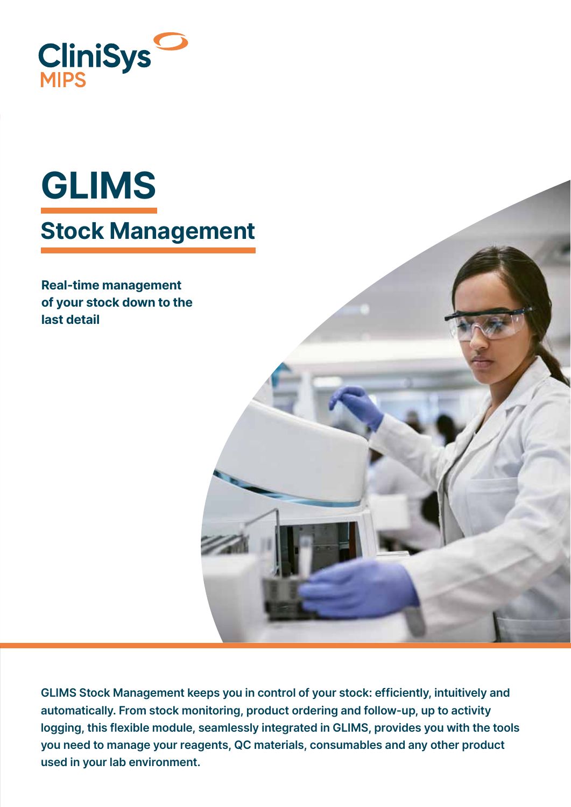

# GLIMS Stock Management

Real-time management of your stock down to the last detail

GLIMS Stock Management keeps you in control of your stock: efficiently, intuitively and automatically. From stock monitoring, product ordering and follow-up, up to activity logging, this flexible module, seamlessly integrated in GLIMS, provides you with the tools you need to manage your reagents, QC materials, consumables and any other product used in your lab environment.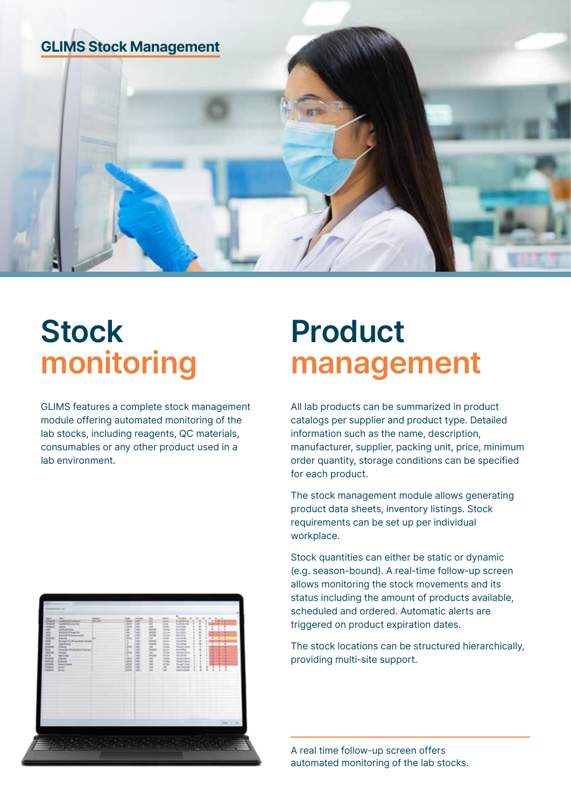

# **Stock** monitoring

GLIMS features a complete stock management module offering automated monitoring of the lab stocks, including reagents, QC materials, consumables or any other product used in a lab environment.



# Product management

All lab products can be summarized in product catalogs per supplier and product type. Detailed information such as the name, description, manufacturer, supplier, packing unit, price, minimum order quantity, storage conditions can be specified for each product.

The stock management module allows generating product data sheets, inventory listings. Stock requirements can be set up per individual workplace.

Stock quantities can either be static or dynamic (e.g. season-bound). A real-time follow-up screen allows monitoring the stock movements and its status including the amount of products available, scheduled and ordered. Automatic alerts are triggered on product expiration dates.

The stock locations can be structured hierarchically, providing multi-site support.

A real time follow-up screen offers automated monitoring of the lab stocks.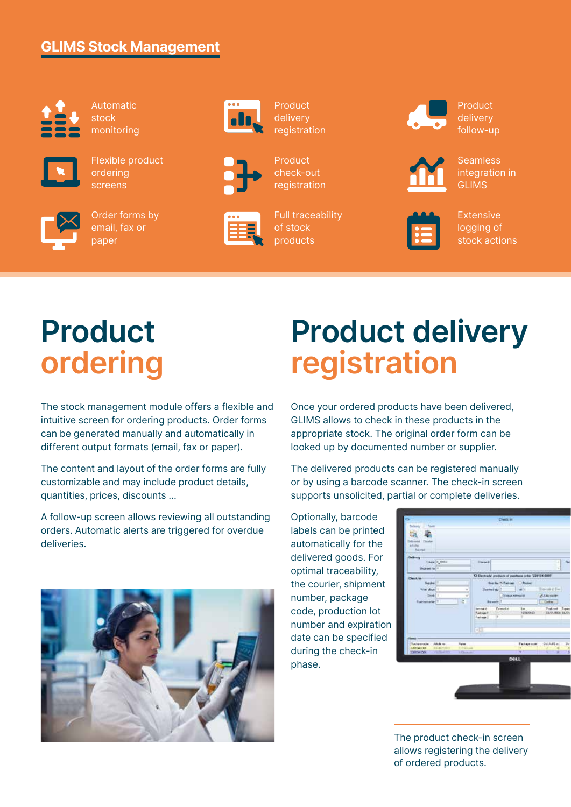#### GLIMS Stock Management



Automatic stock monitoring



Flexible product ordering screens



Order forms by email, fax or paper



**Product** delivery registration



**Product** check-out registration



Full traceability of stock products

Product delivery follow-up



**Seamless** integration in GLIMS



Extensive logging of stock actions

# Product ordering

The stock management module offers a flexible and intuitive screen for ordering products. Order forms can be generated manually and automatically in different output formats (email, fax or paper).

The content and layout of the order forms are fully customizable and may include product details, quantities, prices, discounts …

A follow-up screen allows reviewing all outstanding orders. Automatic alerts are triggered for overdue deliveries.



#### Product delivery registration

Once your ordered products have been delivered, GLIMS allows to check in these products in the appropriate stock. The original order form can be looked up by documented number or supplier.

The delivered products can be registered manually or by using a barcode scanner. The check-in screen supports unsolicited, partial or complete deliveries.

Optionally, barcode labels can be printed automatically for the delivered goods. For optimal traceability, the courier, shipment number, package code, production lot number and expiration date can be specified during the check-in phase.



The product check-in screen allows registering the delivery of ordered products.